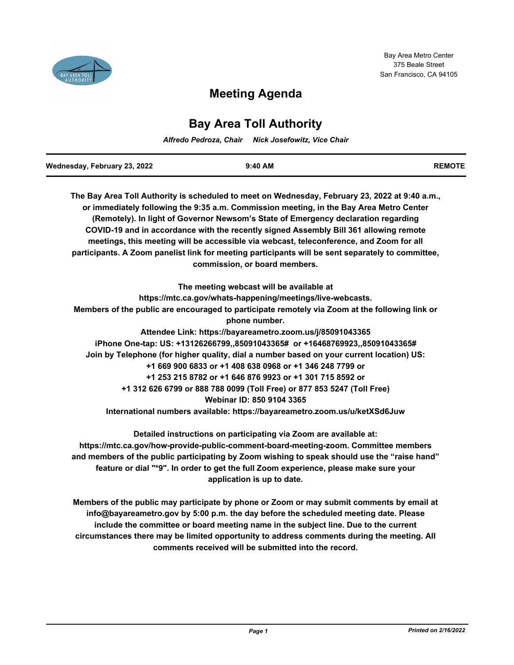

# **Meeting Agenda**

## **Bay Area Toll Authority**

*Alfredo Pedroza, Chair Nick Josefowitz, Vice Chair*

| Wednesday, February 23, 2022 | 9:40 AM | <b>REMOTE</b> |
|------------------------------|---------|---------------|

**The Bay Area Toll Authority is scheduled to meet on Wednesday, February 23, 2022 at 9:40 a.m., or immediately following the 9:35 a.m. Commission meeting, in the Bay Area Metro Center (Remotely). In light of Governor Newsom's State of Emergency declaration regarding COVID-19 and in accordance with the recently signed Assembly Bill 361 allowing remote meetings, this meeting will be accessible via webcast, teleconference, and Zoom for all participants. A Zoom panelist link for meeting participants will be sent separately to committee, commission, or board members.**

**The meeting webcast will be available at https://mtc.ca.gov/whats-happening/meetings/live-webcasts. Members of the public are encouraged to participate remotely via Zoom at the following link or phone number. Attendee Link: https://bayareametro.zoom.us/j/85091043365 iPhone One-tap: US: +13126266799,,85091043365# or +16468769923,,85091043365# Join by Telephone (for higher quality, dial a number based on your current location) US: +1 669 900 6833 or +1 408 638 0968 or +1 346 248 7799 or +1 253 215 8782 or +1 646 876 9923 or +1 301 715 8592 or +1 312 626 6799 or 888 788 0099 (Toll Free) or 877 853 5247 (Toll Free) Webinar ID: 850 9104 3365 International numbers available: https://bayareametro.zoom.us/u/ketXSd6Juw**

**Detailed instructions on participating via Zoom are available at: https://mtc.ca.gov/how-provide-public-comment-board-meeting-zoom. Committee members and members of the public participating by Zoom wishing to speak should use the "raise hand" feature or dial "\*9". In order to get the full Zoom experience, please make sure your application is up to date.**

**Members of the public may participate by phone or Zoom or may submit comments by email at info@bayareametro.gov by 5:00 p.m. the day before the scheduled meeting date. Please include the committee or board meeting name in the subject line. Due to the current circumstances there may be limited opportunity to address comments during the meeting. All comments received will be submitted into the record.**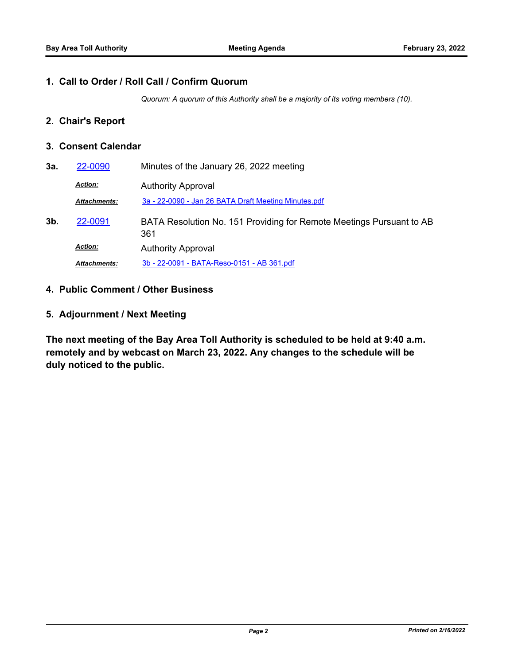#### **1. Call to Order / Roll Call / Confirm Quorum**

*Quorum: A quorum of this Authority shall be a majority of its voting members (10).*

## **2. Chair's Report**

### **3. Consent Calendar**

| 3a.            | 22-0090             | Minutes of the January 26, 2022 meeting                                     |
|----------------|---------------------|-----------------------------------------------------------------------------|
|                | <b>Action:</b>      | <b>Authority Approval</b>                                                   |
|                | <b>Attachments:</b> | 3a - 22-0090 - Jan 26 BATA Draft Meeting Minutes.pdf                        |
| 3 <sub>b</sub> | 22-0091             | BATA Resolution No. 151 Providing for Remote Meetings Pursuant to AB<br>361 |
|                | <b>Action:</b>      | <b>Authority Approval</b>                                                   |
|                | <b>Attachments:</b> | 3b - 22-0091 - BATA-Reso-0151 - AB 361.pdf                                  |

- **4. Public Comment / Other Business**
- **5. Adjournment / Next Meeting**

**The next meeting of the Bay Area Toll Authority is scheduled to be held at 9:40 a.m. remotely and by webcast on March 23, 2022. Any changes to the schedule will be duly noticed to the public.**